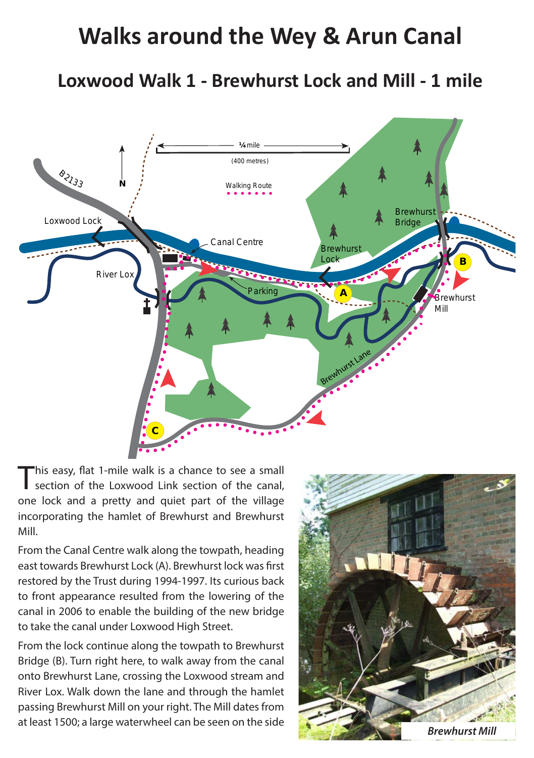## **Walks around the Wey & Arun Canal**

**Loxwood Walk 1 - Brewhurst Lock and Mill - 1 mile**



'his easy, flat 1-mile walk is a chance to see a small section of the Loxwood Link section of the canal, one lock and a pretty and quiet part of the village incorporating the hamlet of Brewhurst and Brewhurst Mill.

From the Canal Centre walk along the towpath, heading east towards Brewhurst Lock (A). Brewhurst lock was first restored by the Trust during 1994-1997. Its curious back to front appearance resulted from the lowering of the canal in 2006 to enable the building of the new bridge to take the canal under Loxwood High Street.

From the lock continue along the towpath to Brewhurst Bridge (B). Turn right here, to walk away from the canal onto Brewhurst Lane, crossing the Loxwood stream and River Lox. Walk down the lane and through the hamlet passing Brewhurst Mill on your right. The Mill dates from at least 1500; a large waterwheel can be seen on the side